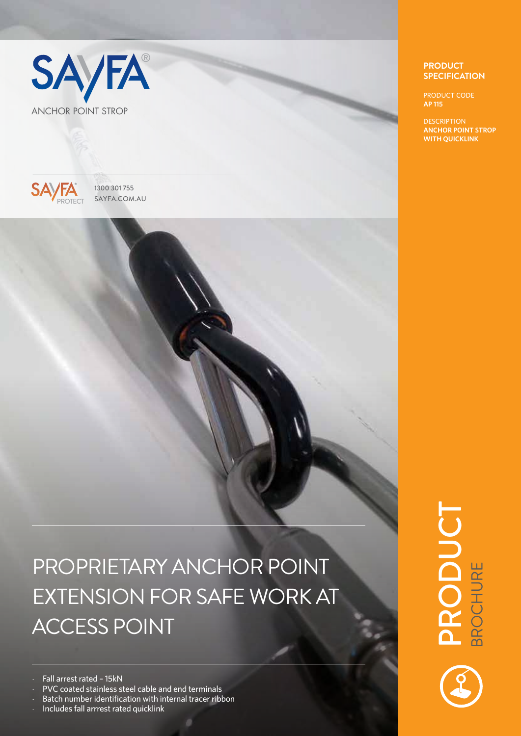



GROUP ACCESS PROTECT EQUIPMENT

1300 301 755  $SAYFA$  1300 301 755

## PROPRIETARY ANCHOR POINT EXTENSION FOR SAFE WORK AT ACCESS POINT

Fall arrest rated - 15kN

- PVC coated stainless steel cable and end terminals
- Batch number identification with internal tracer ribbon

- Includes fall arrrest rated quicklink

## **PRODUCT SPECIFICATION**

PRODUCT CODE **AP 115**

**DESCRIPTION ANCHOR POINT STROP WITH QUICKLINK**